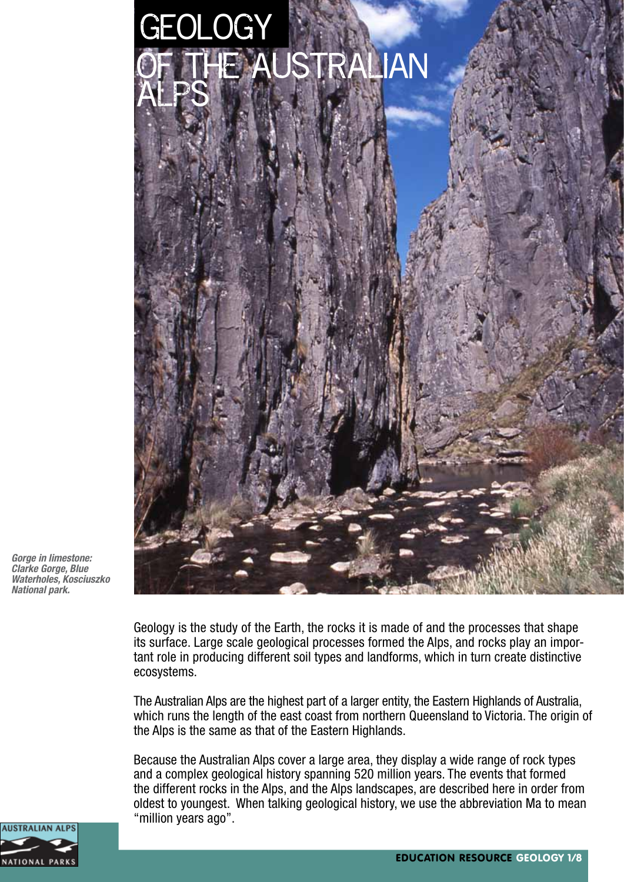

*Gorge in limestone: Clarke Gorge, Blue Waterholes, Kosciuszko National park.*

Geology is the study of the Earth, the rocks it is made of and the processes that shape its surface. Large scale geological processes formed the Alps, and rocks play an important role in producing different soil types and landforms, which in turn create distinctive ecosystems.

The Australian Alps are the highest part of a larger entity, the Eastern Highlands of Australia, which runs the length of the east coast from northern Queensland to Victoria. The origin of the Alps is the same as that of the Eastern Highlands.

Because the Australian Alps cover a large area, they display a wide range of rock types and a complex geological history spanning 520 million years. The events that formed the different rocks in the Alps, and the Alps landscapes, are described here in order from oldest to youngest. When talking geological history, we use the abbreviation Ma to mean "million years ago".

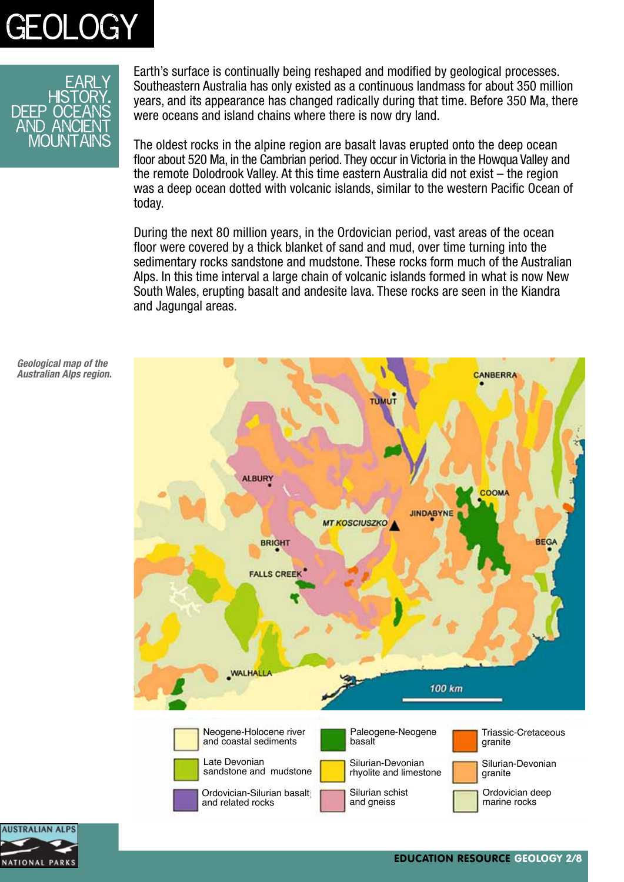



Earth's surface is continually being reshaped and modified by geological processes. Southeastern Australia has only existed as a continuous landmass for about 350 million years, and its appearance has changed radically during that time. Before 350 Ma, there were oceans and island chains where there is now dry land.

The oldest rocks in the alpine region are basalt lavas erupted onto the deep ocean floor about 520 Ma, in the Cambrian period. They occur in Victoria in the Howqua Valley and the remote Dolodrook Valley. At this time eastern Australia did not exist – the region was a deep ocean dotted with volcanic islands, similar to the western Pacific Ocean of today.

During the next 80 million years, in the Ordovician period, vast areas of the ocean floor were covered by a thick blanket of sand and mud, over time turning into the sedimentary rocks sandstone and mudstone. These rocks form much of the Australian Alps. In this time interval a large chain of volcanic islands formed in what is now New South Wales, erupting basalt and andesite lava. These rocks are seen in the Kiandra and Jagungal areas.



*Geological map of the Australian Alps region.*

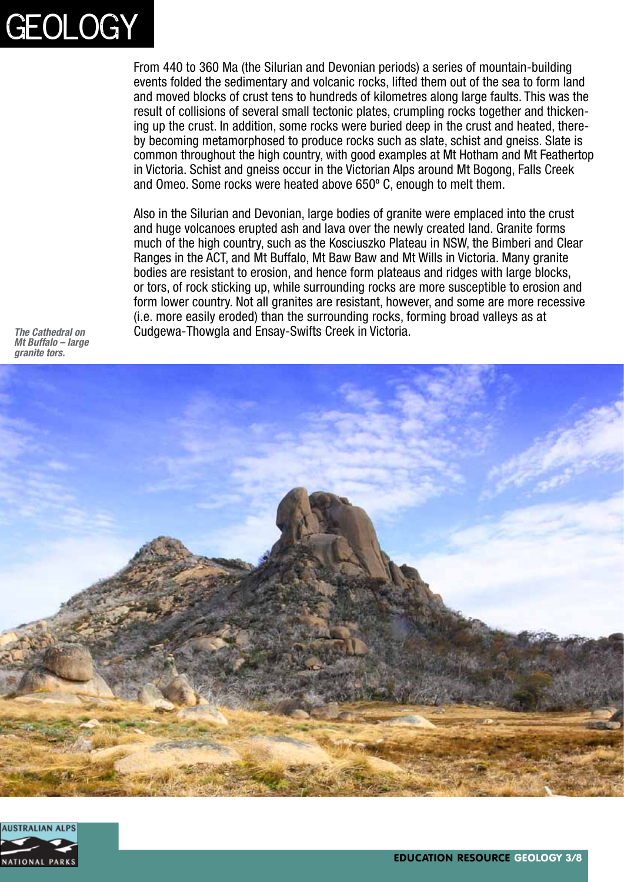

From 440 to 360 Ma (the Silurian and Devonian periods) a series of mountain-building events folded the sedimentary and volcanic rocks, lifted them out of the sea to form land and moved blocks of crust tens to hundreds of kilometres along large faults. This was the result of collisions of several small tectonic plates, crumpling rocks together and thickening up the crust. In addition, some rocks were buried deep in the crust and heated, thereby becoming metamorphosed to produce rocks such as slate, schist and gneiss. Slate is common throughout the high country, with good examples at Mt Hotham and Mt Feathertop in Victoria. Schist and gneiss occur in the Victorian Alps around Mt Bogong, Falls Creek and Omeo. Some rocks were heated above 650º C, enough to melt them.

Also in the Silurian and Devonian, large bodies of granite were emplaced into the crust and huge volcanoes erupted ash and lava over the newly created land. Granite forms much of the high country, such as the Kosciuszko Plateau in NSW, the Bimberi and Clear Ranges in the ACT, and Mt Buffalo, Mt Baw Baw and Mt Wills in Victoria. Many granite bodies are resistant to erosion, and hence form plateaus and ridges with large blocks, or tors, of rock sticking up, while surrounding rocks are more susceptible to erosion and form lower country. Not all granites are resistant, however, and some are more recessive (i.e. more easily eroded) than the surrounding rocks, forming broad valleys as at *The Cathedral on* Cudgewa-Thowgla and Ensay-Swifts Creek in Victoria.

*Mt Buffalo – large granite tors.*



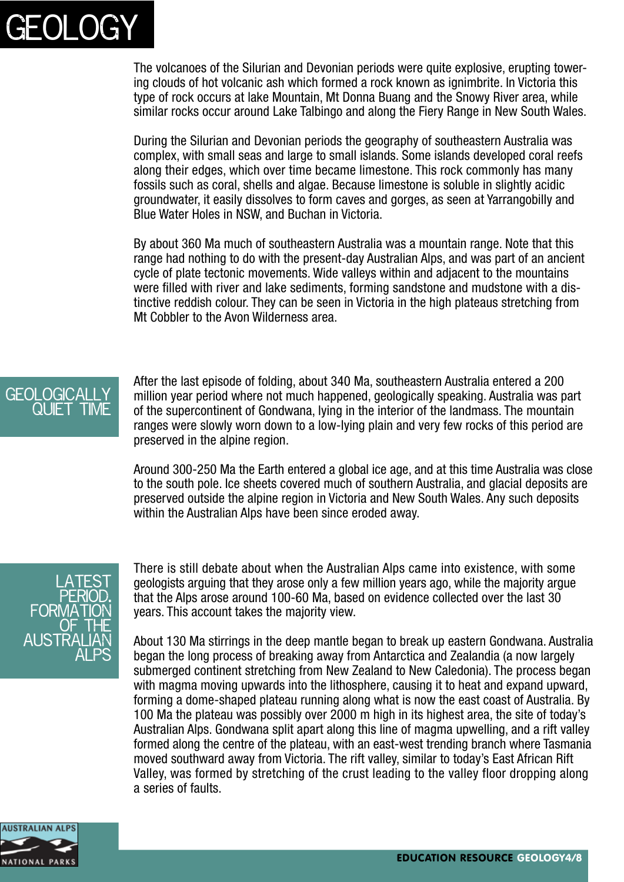

The volcanoes of the Silurian and Devonian periods were quite explosive, erupting towering clouds of hot volcanic ash which formed a rock known as ignimbrite. In Victoria this type of rock occurs at lake Mountain, Mt Donna Buang and the Snowy River area, while similar rocks occur around Lake Talbingo and along the Fiery Range in New South Wales.

During the Silurian and Devonian periods the geography of southeastern Australia was complex, with small seas and large to small islands. Some islands developed coral reefs along their edges, which over time became limestone. This rock commonly has many fossils such as coral, shells and algae. Because limestone is soluble in slightly acidic groundwater, it easily dissolves to form caves and gorges, as seen at Yarrangobilly and Blue Water Holes in NSW, and Buchan in Victoria.

By about 360 Ma much of southeastern Australia was a mountain range. Note that this range had nothing to do with the present-day Australian Alps, and was part of an ancient cycle of plate tectonic movements. Wide valleys within and adjacent to the mountains were filled with river and lake sediments, forming sandstone and mudstone with a distinctive reddish colour. They can be seen in Victoria in the high plateaus stretching from Mt Cobbler to the Avon Wilderness area.



After the last episode of folding, about 340 Ma, southeastern Australia entered a 200 million year period where not much happened, geologically speaking. Australia was part of the supercontinent of Gondwana, lying in the interior of the landmass. The mountain ranges were slowly worn down to a low-lying plain and very few rocks of this period are preserved in the alpine region.

Around 300-250 Ma the Earth entered a global ice age, and at this time Australia was close to the south pole. Ice sheets covered much of southern Australia, and glacial deposits are preserved outside the alpine region in Victoria and New South Wales. Any such deposits within the Australian Alps have been since eroded away.



There is still debate about when the Australian Alps came into existence, with some geologists arguing that they arose only a few million years ago, while the majority argue that the Alps arose around 100-60 Ma, based on evidence collected over the last 30 years. This account takes the majority view.

About 130 Ma stirrings in the deep mantle began to break up eastern Gondwana. Australia began the long process of breaking away from Antarctica and Zealandia (a now largely submerged continent stretching from New Zealand to New Caledonia). The process began with magma moving upwards into the lithosphere, causing it to heat and expand upward, forming a dome-shaped plateau running along what is now the east coast of Australia. By 100 Ma the plateau was possibly over 2000 m high in its highest area, the site of today's Australian Alps. Gondwana split apart along this line of magma upwelling, and a rift valley formed along the centre of the plateau, with an east-west trending branch where Tasmania moved southward away from Victoria. The rift valley, similar to today's East African Rift Valley, was formed by stretching of the crust leading to the valley floor dropping along a series of faults.

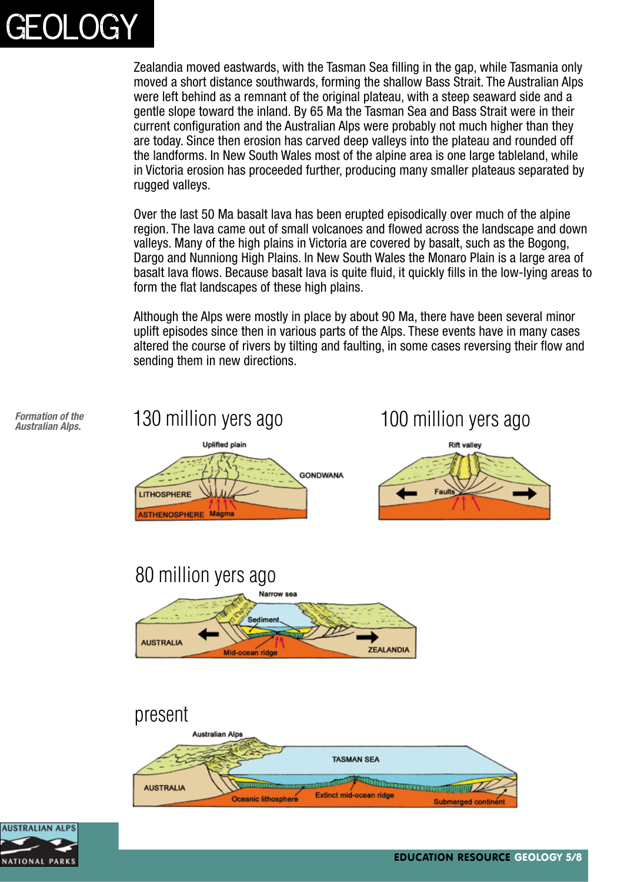

Zealandia moved eastwards, with the Tasman Sea filling in the gap, while Tasmania only moved a short distance southwards, forming the shallow Bass Strait. The Australian Alps were left behind as a remnant of the original plateau, with a steep seaward side and a gentle slope toward the inland. By 65 Ma the Tasman Sea and Bass Strait were in their current configuration and the Australian Alps were probably not much higher than they are today. Since then erosion has carved deep valleys into the plateau and rounded off the landforms. In New South Wales most of the alpine area is one large tableland, while in Victoria erosion has proceeded further, producing many smaller plateaus separated by rugged valleys.

Over the last 50 Ma basalt lava has been erupted episodically over much of the alpine region. The lava came out of small volcanoes and flowed across the landscape and down valleys. Many of the high plains in Victoria are covered by basalt, such as the Bogong, Dargo and Nunniong High Plains. In New South Wales the Monaro Plain is a large area of basalt lava flows. Because basalt lava is quite fluid, it quickly fills in the low-lying areas to form the flat landscapes of these high plains.

Although the Alps were mostly in place by about 90 Ma, there have been several minor uplift episodes since then in various parts of the Alps. These events have in many cases altered the course of rivers by tilting and faulting, in some cases reversing their flow and sending them in new directions.



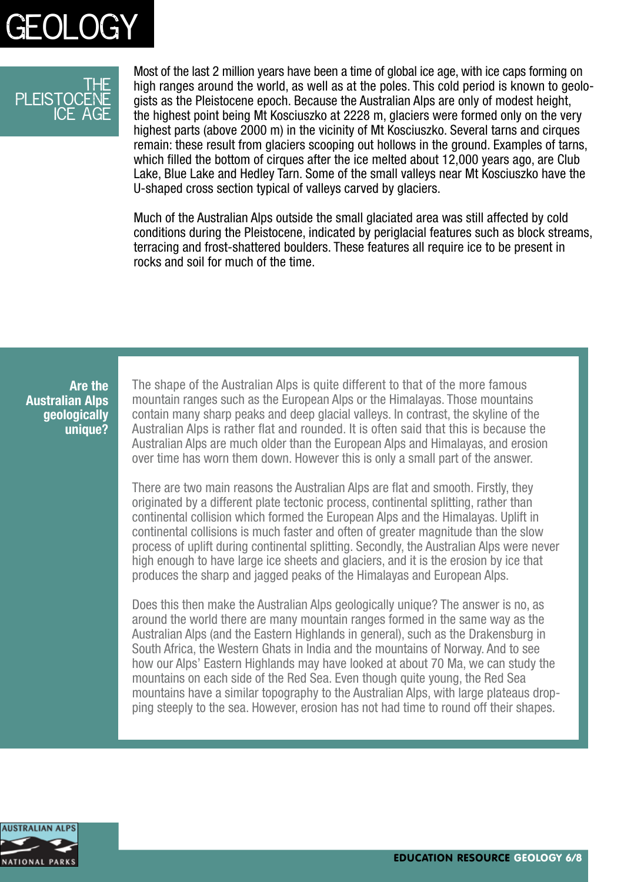

#### <u>THF</u> PI FISTOCFN ice age

Most of the last 2 million years have been a time of global ice age, with ice caps forming on high ranges around the world, as well as at the poles. This cold period is known to geologists as the Pleistocene epoch. Because the Australian Alps are only of modest height, the highest point being Mt Kosciuszko at 2228 m, glaciers were formed only on the very highest parts (above 2000 m) in the vicinity of Mt Kosciuszko. Several tarns and cirques remain: these result from glaciers scooping out hollows in the ground. Examples of tarns, which filled the bottom of cirques after the ice melted about 12,000 years ago, are Club Lake, Blue Lake and Hedley Tarn. Some of the small valleys near Mt Kosciuszko have the U-shaped cross section typical of valleys carved by glaciers.

Much of the Australian Alps outside the small glaciated area was still affected by cold conditions during the Pleistocene, indicated by periglacial features such as block streams, terracing and frost-shattered boulders. These features all require ice to be present in rocks and soil for much of the time.

**Are the Australian Alps geologically unique?** The shape of the Australian Alps is quite different to that of the more famous mountain ranges such as the European Alps or the Himalayas. Those mountains contain many sharp peaks and deep glacial valleys. In contrast, the skyline of the Australian Alps is rather flat and rounded. It is often said that this is because the Australian Alps are much older than the European Alps and Himalayas, and erosion over time has worn them down. However this is only a small part of the answer.

There are two main reasons the Australian Alps are flat and smooth. Firstly, they originated by a different plate tectonic process, continental splitting, rather than continental collision which formed the European Alps and the Himalayas. Uplift in continental collisions is much faster and often of greater magnitude than the slow process of uplift during continental splitting. Secondly, the Australian Alps were never high enough to have large ice sheets and glaciers, and it is the erosion by ice that produces the sharp and jagged peaks of the Himalayas and European Alps.

Does this then make the Australian Alps geologically unique? The answer is no, as around the world there are many mountain ranges formed in the same way as the Australian Alps (and the Eastern Highlands in general), such as the Drakensburg in South Africa, the Western Ghats in India and the mountains of Norway. And to see how our Alps' Eastern Highlands may have looked at about 70 Ma, we can study the mountains on each side of the Red Sea. Even though quite young, the Red Sea mountains have a similar topography to the Australian Alps, with large plateaus dropping steeply to the sea. However, erosion has not had time to round off their shapes.

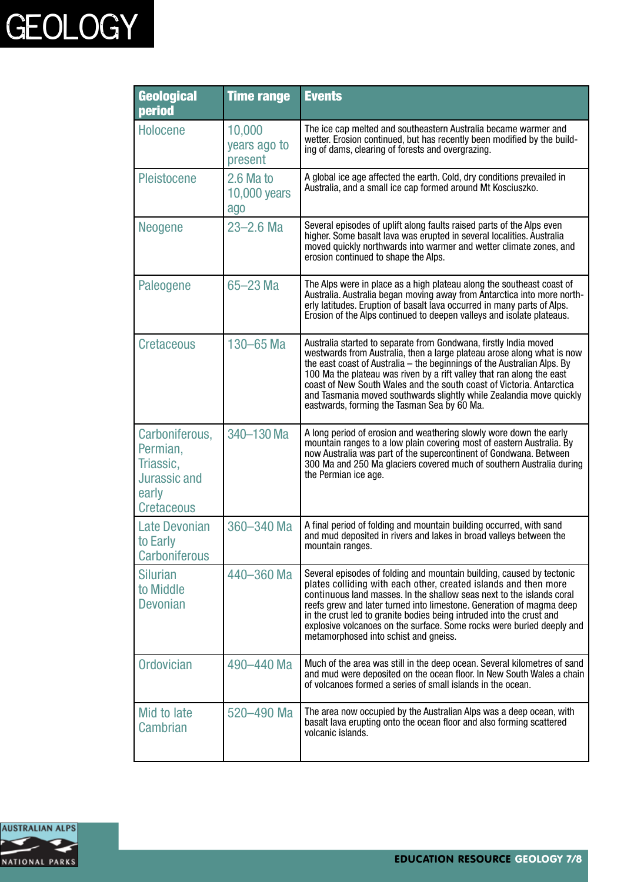# **GEOLOGY**

| <b>Geological</b><br>period                                                                  | <b>Time range</b>                  | <b>Events</b>                                                                                                                                                                                                                                                                                                                                                                                                                                                                                |
|----------------------------------------------------------------------------------------------|------------------------------------|----------------------------------------------------------------------------------------------------------------------------------------------------------------------------------------------------------------------------------------------------------------------------------------------------------------------------------------------------------------------------------------------------------------------------------------------------------------------------------------------|
| <b>Holocene</b>                                                                              | 10,000<br>years ago to<br>present  | The ice cap melted and southeastern Australia became warmer and<br>wetter. Erosion continued, but has recently been modified by the build-<br>ing of dams, clearing of forests and overgrazing.                                                                                                                                                                                                                                                                                              |
| <b>Pleistocene</b>                                                                           | $2.6$ Ma to<br>10,000 years<br>ago | A global ice age affected the earth. Cold, dry conditions prevailed in<br>Australia, and a small ice cap formed around Mt Kosciuszko.                                                                                                                                                                                                                                                                                                                                                        |
| Neogene                                                                                      | $23 - 2.6$ Ma                      | Several episodes of uplift along faults raised parts of the Alps even<br>higher. Some basalt lava was erupted in several localities. Australia<br>moved quickly northwards into warmer and wetter climate zones, and<br>erosion continued to shape the Alps.                                                                                                                                                                                                                                 |
| Paleogene                                                                                    | 65-23 Ma                           | The Alps were in place as a high plateau along the southeast coast of<br>Australia. Australia began moving away from Antarctica into more north-<br>erly latitudes. Eruption of basalt lava occurred in many parts of Alps.<br>Erosion of the Alps continued to deepen valleys and isolate plateaus.                                                                                                                                                                                         |
| <b>Cretaceous</b>                                                                            | 130-65 Ma                          | Australia started to separate from Gondwana, firstly India moved<br>westwards from Australia, then a large plateau arose along what is now<br>the east coast of Australia – the beginnings of the Australian Alps. By<br>100 Ma the plateau was riven by a rift valley that ran along the east<br>coast of New South Wales and the south coast of Victoria. Antarctica<br>and Tasmania moved southwards slightly while Zealandia move quickly<br>eastwards, forming the Tasman Sea by 60 Ma. |
| Carboniferous,<br>Permian,<br>Triassic,<br><b>Jurassic and</b><br>early<br><b>Cretaceous</b> | 340-130 Ma                         | A long period of erosion and weathering slowly wore down the early<br>mountain ranges to a low plain covering most of eastern Australia. By<br>now Australia was part of the supercontinent of Gondwana. Between<br>300 Ma and 250 Ma glaciers covered much of southern Australia during<br>the Permian ice age.                                                                                                                                                                             |
| <b>Late Devonian</b><br>to Early<br><b>Carboniferous</b>                                     | 360-340 Ma                         | A final period of folding and mountain building occurred, with sand<br>and mud deposited in rivers and lakes in broad valleys between the<br>mountain ranges.                                                                                                                                                                                                                                                                                                                                |
| <b>Silurian</b><br>to Middle<br><b>Devonian</b>                                              | 440-360 Ma                         | Several episodes of folding and mountain building, caused by tectonic<br>plates colliding with each other, created islands and then more<br>continuous land masses. In the shallow seas next to the islands coral<br>reefs grew and later turned into limestone. Generation of magma deep<br>in the crust led to granite bodies being intruded into the crust and<br>explosive volcanoes on the surface. Some rocks were buried deeply and<br>metamorphosed into schist and gneiss.          |
| <b>Ordovician</b>                                                                            | 490-440 Ma                         | Much of the area was still in the deep ocean. Several kilometres of sand<br>and mud were deposited on the ocean floor. In New South Wales a chain<br>of volcanoes formed a series of small islands in the ocean.                                                                                                                                                                                                                                                                             |
| Mid to late<br>Cambrian                                                                      | 520-490 Ma                         | The area now occupied by the Australian Alps was a deep ocean, with<br>basalt lava erupting onto the ocean floor and also forming scattered<br>volcanic islands.                                                                                                                                                                                                                                                                                                                             |